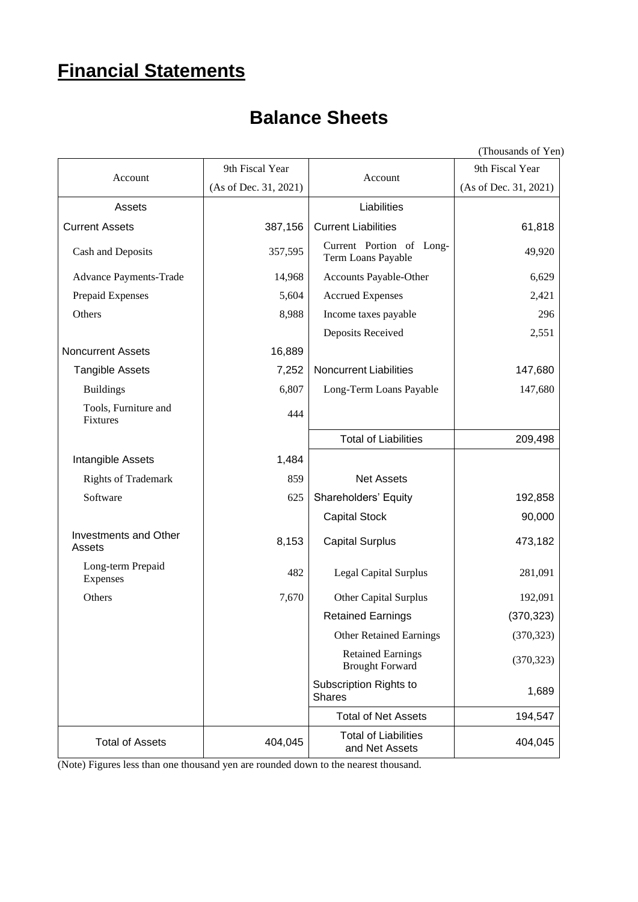## **Financial Statements**

## **Balance Sheets**

|                                        |                       |                                                    | (Thousands of Yen)    |  |
|----------------------------------------|-----------------------|----------------------------------------------------|-----------------------|--|
|                                        | 9th Fiscal Year       | Account                                            | 9th Fiscal Year       |  |
| Account                                | (As of Dec. 31, 2021) |                                                    | (As of Dec. 31, 2021) |  |
| Assets                                 |                       | Liabilities                                        |                       |  |
| <b>Current Assets</b>                  | 387,156               | <b>Current Liabilities</b>                         | 61,818                |  |
| Cash and Deposits                      | 357,595               | Current Portion of Long-<br>Term Loans Payable     | 49,920                |  |
| Advance Payments-Trade                 | 14,968                | Accounts Payable-Other                             | 6,629                 |  |
| Prepaid Expenses                       | 5,604                 | <b>Accrued Expenses</b>                            | 2,421                 |  |
| Others                                 | 8,988                 | Income taxes payable                               | 296                   |  |
|                                        |                       | Deposits Received                                  | 2,551                 |  |
| <b>Noncurrent Assets</b>               | 16,889                |                                                    |                       |  |
| <b>Tangible Assets</b>                 | 7,252                 | <b>Noncurrent Liabilities</b>                      | 147,680               |  |
| <b>Buildings</b>                       | 6,807                 | Long-Term Loans Payable                            | 147,680               |  |
| Tools, Furniture and<br>Fixtures       | 444                   |                                                    |                       |  |
|                                        |                       | <b>Total of Liabilities</b>                        | 209,498               |  |
| Intangible Assets                      | 1,484                 |                                                    |                       |  |
| <b>Rights of Trademark</b>             | 859                   | <b>Net Assets</b>                                  |                       |  |
| Software                               | 625                   | Shareholders' Equity                               | 192,858               |  |
|                                        |                       | <b>Capital Stock</b>                               | 90,000                |  |
| <b>Investments and Other</b><br>Assets | 8,153                 | <b>Capital Surplus</b>                             | 473,182               |  |
| Long-term Prepaid<br>Expenses          | 482                   | <b>Legal Capital Surplus</b>                       | 281,091               |  |
| Others                                 | 7,670                 | Other Capital Surplus                              | 192,091               |  |
|                                        |                       | <b>Retained Earnings</b>                           | (370, 323)            |  |
|                                        |                       | <b>Other Retained Earnings</b>                     | (370, 323)            |  |
|                                        |                       | <b>Retained Earnings</b><br><b>Brought Forward</b> | (370, 323)            |  |
|                                        |                       | Subscription Rights to<br><b>Shares</b>            | 1,689                 |  |
|                                        |                       | <b>Total of Net Assets</b>                         | 194,547               |  |
| <b>Total of Assets</b>                 | 404,045               | <b>Total of Liabilities</b><br>and Net Assets      | 404,045               |  |
|                                        |                       |                                                    |                       |  |

(Note) Figures less than one thousand yen are rounded down to the nearest thousand.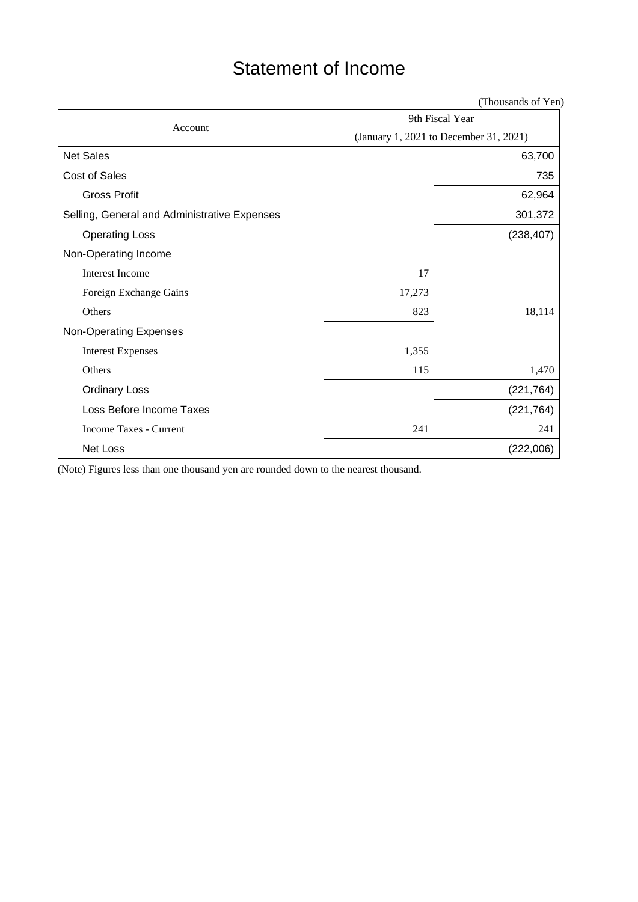## Statement of Income

(Thousands of Yen)

| Account                                      | 9th Fiscal Year                        |            |  |  |
|----------------------------------------------|----------------------------------------|------------|--|--|
|                                              | (January 1, 2021 to December 31, 2021) |            |  |  |
| <b>Net Sales</b>                             |                                        | 63,700     |  |  |
| Cost of Sales                                |                                        | 735        |  |  |
| <b>Gross Profit</b>                          |                                        | 62,964     |  |  |
| Selling, General and Administrative Expenses |                                        | 301,372    |  |  |
| <b>Operating Loss</b>                        |                                        | (238, 407) |  |  |
| Non-Operating Income                         |                                        |            |  |  |
| <b>Interest Income</b>                       | 17                                     |            |  |  |
| Foreign Exchange Gains                       | 17,273                                 |            |  |  |
| Others                                       | 823                                    | 18,114     |  |  |
| Non-Operating Expenses                       |                                        |            |  |  |
| <b>Interest Expenses</b>                     | 1,355                                  |            |  |  |
| Others                                       | 115                                    | 1,470      |  |  |
| <b>Ordinary Loss</b>                         |                                        | (221, 764) |  |  |
| Loss Before Income Taxes                     |                                        | (221, 764) |  |  |
| Income Taxes - Current                       | 241                                    | 241        |  |  |
| Net Loss                                     |                                        | (222,006)  |  |  |

(Note) Figures less than one thousand yen are rounded down to the nearest thousand.